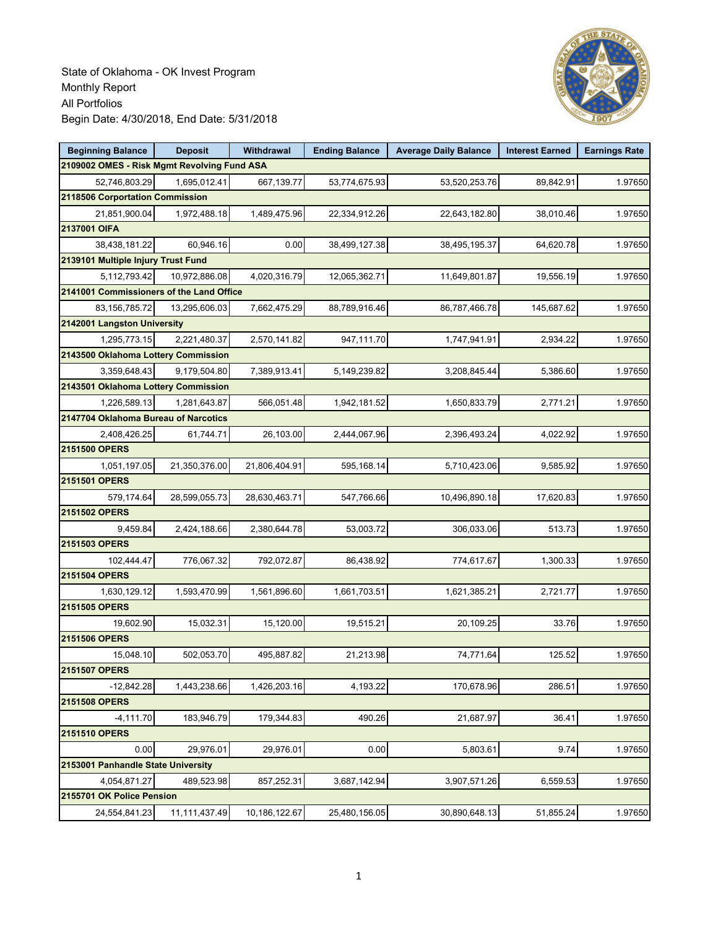

| <b>Beginning Balance</b>                    | <b>Deposit</b> | Withdrawal    | <b>Ending Balance</b> | <b>Average Daily Balance</b> | <b>Interest Earned</b> | <b>Earnings Rate</b> |  |  |  |
|---------------------------------------------|----------------|---------------|-----------------------|------------------------------|------------------------|----------------------|--|--|--|
| 2109002 OMES - Risk Mgmt Revolving Fund ASA |                |               |                       |                              |                        |                      |  |  |  |
| 52,746,803.29                               | 1,695,012.41   | 667,139.77    | 53,774,675.93         | 53,520,253.76                | 89,842.91              | 1.97650              |  |  |  |
| 2118506 Corportation Commission             |                |               |                       |                              |                        |                      |  |  |  |
| 21,851,900.04                               | 1,972,488.18   | 1,489,475.96  | 22,334,912.26         | 22,643,182.80                | 38,010.46              | 1.97650              |  |  |  |
| 2137001 OIFA                                |                |               |                       |                              |                        |                      |  |  |  |
| 38,438,181.22                               | 60,946.16      | 0.00          | 38,499,127.38         | 38,495,195.37                | 64,620.78              | 1.97650              |  |  |  |
| 2139101 Multiple Injury Trust Fund          |                |               |                       |                              |                        |                      |  |  |  |
| 5,112,793.42                                | 10,972,886.08  | 4,020,316.79  | 12,065,362.71         | 11,649,801.87                | 19,556.19              | 1.97650              |  |  |  |
| 2141001 Commissioners of the Land Office    |                |               |                       |                              |                        |                      |  |  |  |
| 83,156,785.72                               | 13,295,606.03  | 7,662,475.29  | 88,789,916.46         | 86,787,466.78                | 145,687.62             | 1.97650              |  |  |  |
| 2142001 Langston University                 |                |               |                       |                              |                        |                      |  |  |  |
| 1,295,773.15                                | 2,221,480.37   | 2,570,141.82  | 947,111.70            | 1,747,941.91                 | 2,934.22               | 1.97650              |  |  |  |
| 2143500 Oklahoma Lottery Commission         |                |               |                       |                              |                        |                      |  |  |  |
| 3,359,648.43                                | 9,179,504.80   | 7,389,913.41  | 5,149,239.82          | 3,208,845.44                 | 5,386.60               | 1.97650              |  |  |  |
| 2143501 Oklahoma Lottery Commission         |                |               |                       |                              |                        |                      |  |  |  |
| 1,226,589.13                                | 1,281,643.87   | 566,051.48    | 1,942,181.52          | 1,650,833.79                 | 2,771.21               | 1.97650              |  |  |  |
| 2147704 Oklahoma Bureau of Narcotics        |                |               |                       |                              |                        |                      |  |  |  |
| 2,408,426.25                                | 61,744.71      | 26,103.00     | 2,444,067.96          | 2,396,493.24                 | 4,022.92               | 1.97650              |  |  |  |
| 2151500 OPERS                               |                |               |                       |                              |                        |                      |  |  |  |
| 1,051,197.05                                | 21,350,376.00  | 21,806,404.91 | 595,168.14            | 5,710,423.06                 | 9,585.92               | 1.97650              |  |  |  |
| 2151501 OPERS                               |                |               |                       |                              |                        |                      |  |  |  |
| 579,174.64                                  | 28,599,055.73  | 28,630,463.71 | 547,766.66            | 10,496,890.18                | 17,620.83              | 1.97650              |  |  |  |
| 2151502 OPERS                               |                |               |                       |                              |                        |                      |  |  |  |
| 9,459.84                                    | 2,424,188.66   | 2,380,644.78  | 53,003.72             | 306,033.06                   | 513.73                 | 1.97650              |  |  |  |
| 2151503 OPERS                               |                |               |                       |                              |                        |                      |  |  |  |
| 102,444.47                                  | 776,067.32     | 792,072.87    | 86,438.92             | 774,617.67                   | 1,300.33               | 1.97650              |  |  |  |
| 2151504 OPERS                               |                |               |                       |                              |                        |                      |  |  |  |
| 1,630,129.12                                | 1,593,470.99   | 1,561,896.60  | 1,661,703.51          | 1,621,385.21                 | 2,721.77               | 1.97650              |  |  |  |
| 2151505 OPERS                               |                |               |                       |                              |                        |                      |  |  |  |
| 19,602.90                                   | 15,032.31      | 15,120.00     | 19,515.21             | 20,109.25                    | 33.76                  | 1.97650              |  |  |  |
| 2151506 OPERS                               |                |               |                       |                              |                        |                      |  |  |  |
| 15,048.10                                   | 502,053.70     | 495,887.82    | 21,213.98             | 74,771.64                    | 125.52                 | 1.97650              |  |  |  |
| 2151507 OPERS                               |                |               |                       |                              |                        |                      |  |  |  |
| $-12.842.28$                                | 1,443,238.66   | 1,426,203.16  | 4,193.22              | 170,678.96                   | 286.51                 | 1.97650              |  |  |  |
| 2151508 OPERS                               |                |               |                       |                              |                        |                      |  |  |  |
| $-4,111.70$                                 | 183,946.79     | 179,344.83    | 490.26                | 21,687.97                    | 36.41                  | 1.97650              |  |  |  |
| 2151510 OPERS                               |                |               |                       |                              |                        |                      |  |  |  |
| 0.00                                        | 29,976.01      | 29,976.01     | 0.00                  | 5,803.61                     | 9.74                   | 1.97650              |  |  |  |
| 2153001 Panhandle State University          |                |               |                       |                              |                        |                      |  |  |  |
| 4,054,871.27                                | 489,523.98     | 857,252.31    | 3,687,142.94          | 3,907,571.26                 | 6,559.53               | 1.97650              |  |  |  |
| 2155701 OK Police Pension                   |                |               |                       |                              |                        |                      |  |  |  |
| 24,554,841.23                               | 11,111,437.49  | 10,186,122.67 | 25,480,156.05         | 30,890,648.13                | 51,855.24              | 1.97650              |  |  |  |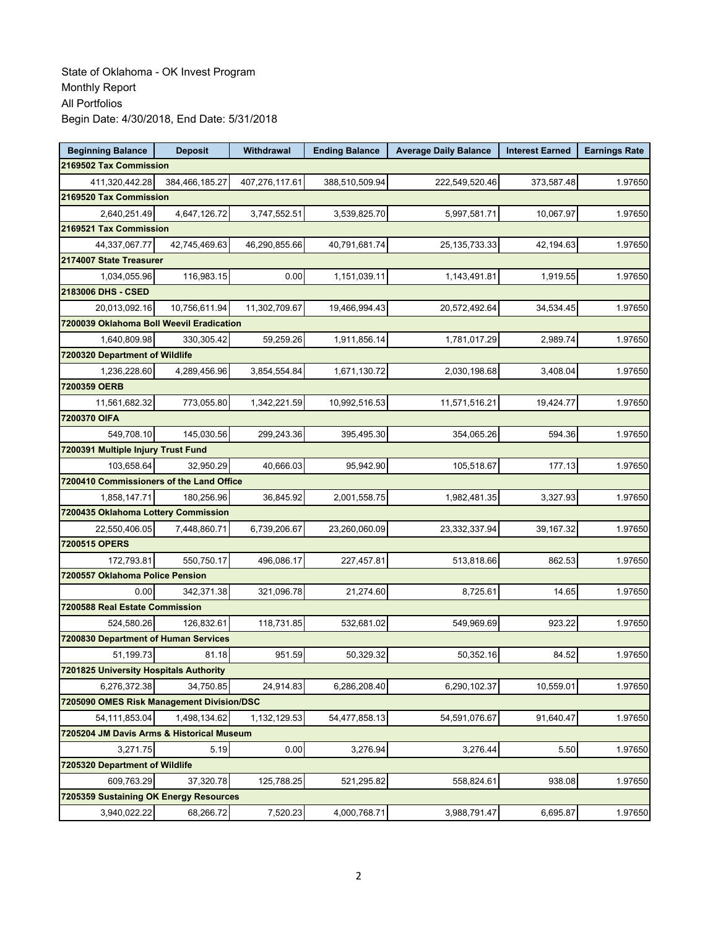| <b>Beginning Balance</b>                  | <b>Deposit</b> | Withdrawal     | <b>Ending Balance</b> | <b>Average Daily Balance</b> | <b>Interest Earned</b> | <b>Earnings Rate</b> |  |  |
|-------------------------------------------|----------------|----------------|-----------------------|------------------------------|------------------------|----------------------|--|--|
| 2169502 Tax Commission                    |                |                |                       |                              |                        |                      |  |  |
| 411,320,442.28                            | 384,466,185.27 | 407,276,117.61 | 388,510,509.94        | 222,549,520.46               | 373,587.48             | 1.97650              |  |  |
| 2169520 Tax Commission                    |                |                |                       |                              |                        |                      |  |  |
| 2,640,251.49                              | 4,647,126.72   | 3,747,552.51   | 3,539,825.70          | 5,997,581.71                 | 10,067.97              | 1.97650              |  |  |
| 2169521 Tax Commission                    |                |                |                       |                              |                        |                      |  |  |
| 44,337,067.77                             | 42,745,469.63  | 46,290,855.66  | 40,791,681.74         | 25, 135, 733. 33             | 42,194.63              | 1.97650              |  |  |
| 2174007 State Treasurer                   |                |                |                       |                              |                        |                      |  |  |
| 1,034,055.96                              | 116,983.15     | 0.00           | 1,151,039.11          | 1,143,491.81                 | 1,919.55               | 1.97650              |  |  |
| 2183006 DHS - CSED                        |                |                |                       |                              |                        |                      |  |  |
| 20,013,092.16                             | 10,756,611.94  | 11,302,709.67  | 19,466,994.43         | 20,572,492.64                | 34,534.45              | 1.97650              |  |  |
| 7200039 Oklahoma Boll Weevil Eradication  |                |                |                       |                              |                        |                      |  |  |
| 1,640,809.98                              | 330,305.42     | 59,259.26      | 1,911,856.14          | 1,781,017.29                 | 2,989.74               | 1.97650              |  |  |
| 7200320 Department of Wildlife            |                |                |                       |                              |                        |                      |  |  |
| 1,236,228.60                              | 4,289,456.96   | 3,854,554.84   | 1,671,130.72          | 2,030,198.68                 | 3,408.04               | 1.97650              |  |  |
| 7200359 OERB                              |                |                |                       |                              |                        |                      |  |  |
| 11,561,682.32                             | 773,055.80     | 1,342,221.59   | 10,992,516.53         | 11,571,516.21                | 19,424.77              | 1.97650              |  |  |
| 7200370 OIFA                              |                |                |                       |                              |                        |                      |  |  |
| 549,708.10                                | 145,030.56     | 299,243.36     | 395,495.30            | 354,065.26                   | 594.36                 | 1.97650              |  |  |
| 7200391 Multiple Injury Trust Fund        |                |                |                       |                              |                        |                      |  |  |
| 103,658.64                                | 32.950.29      | 40,666.03      | 95,942.90             | 105,518.67                   | 177.13                 | 1.97650              |  |  |
| 7200410 Commissioners of the Land Office  |                |                |                       |                              |                        |                      |  |  |
| 1,858,147.71                              | 180,256.96     | 36,845.92      | 2,001,558.75          | 1,982,481.35                 | 3,327.93               | 1.97650              |  |  |
| 7200435 Oklahoma Lottery Commission       |                |                |                       |                              |                        |                      |  |  |
| 22,550,406.05                             | 7,448,860.71   | 6,739,206.67   | 23,260,060.09         | 23,332,337.94                | 39,167.32              | 1.97650              |  |  |
| 7200515 OPERS                             |                |                |                       |                              |                        |                      |  |  |
| 172,793.81                                | 550,750.17     | 496,086.17     | 227,457.81            | 513,818.66                   | 862.53                 | 1.97650              |  |  |
| 7200557 Oklahoma Police Pension           |                |                |                       |                              |                        |                      |  |  |
| 0.00                                      | 342,371.38     | 321,096.78     | 21,274.60             | 8,725.61                     | 14.65                  | 1.97650              |  |  |
| 7200588 Real Estate Commission            |                |                |                       |                              |                        |                      |  |  |
| 524,580.26                                | 126,832.61     | 118,731.85     | 532,681.02            | 549,969.69                   | 923.22                 | 1.97650              |  |  |
| 7200830 Department of Human Services      |                |                |                       |                              |                        |                      |  |  |
| 51,199.73                                 | 81.18          | 951.59         | 50,329.32             | 50,352.16                    | 84.52                  | 1.97650              |  |  |
| 7201825 University Hospitals Authority    |                |                |                       |                              |                        |                      |  |  |
| 6,276,372.38                              | 34,750.85      | 24,914.83      | 6,286,208.40          | 6,290,102.37                 | 10,559.01              | 1.97650              |  |  |
| 7205090 OMES Risk Management Division/DSC |                |                |                       |                              |                        |                      |  |  |
| 54,111,853.04                             | 1,498,134.62   | 1,132,129.53   | 54,477,858.13         | 54,591,076.67                | 91,640.47              | 1.97650              |  |  |
| 7205204 JM Davis Arms & Historical Museum |                |                |                       |                              |                        |                      |  |  |
| 3,271.75                                  | 5.19           | 0.00           | 3,276.94              | 3,276.44                     | 5.50                   | 1.97650              |  |  |
| 7205320 Department of Wildlife            |                |                |                       |                              |                        |                      |  |  |
| 609,763.29                                | 37,320.78      | 125,788.25     | 521,295.82            | 558,824.61                   | 938.08                 | 1.97650              |  |  |
| 7205359 Sustaining OK Energy Resources    |                |                |                       |                              |                        |                      |  |  |
| 3,940,022.22                              | 68,266.72      | 7,520.23       | 4,000,768.71          | 3,988,791.47                 | 6,695.87               | 1.97650              |  |  |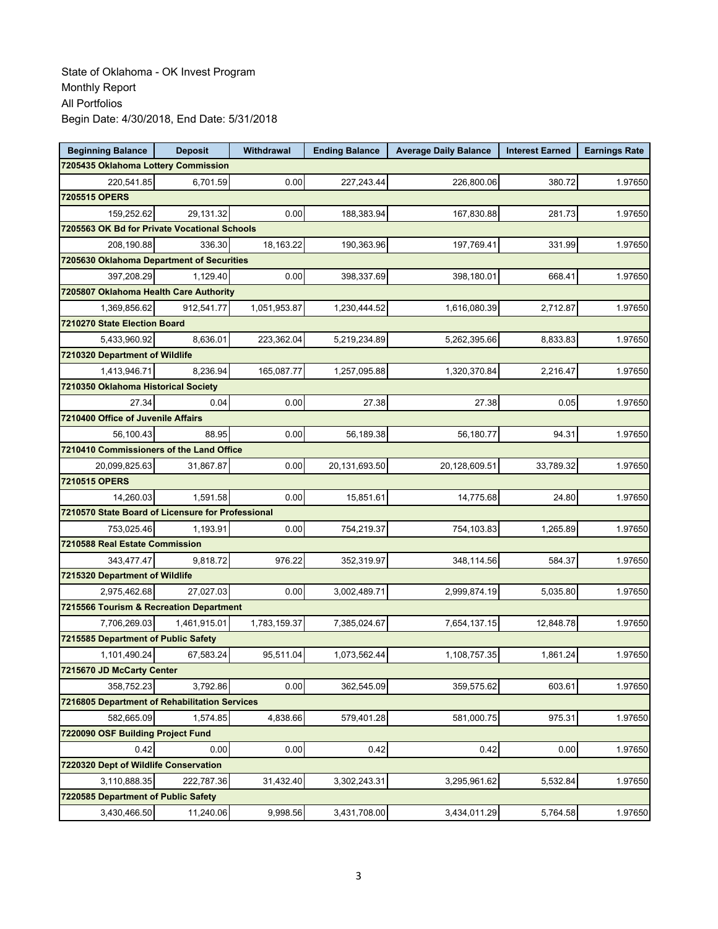| <b>Beginning Balance</b>                          | <b>Deposit</b> | Withdrawal   | <b>Ending Balance</b> | <b>Average Daily Balance</b> | <b>Interest Earned</b> | <b>Earnings Rate</b> |
|---------------------------------------------------|----------------|--------------|-----------------------|------------------------------|------------------------|----------------------|
| 7205435 Oklahoma Lottery Commission               |                |              |                       |                              |                        |                      |
| 220,541.85                                        | 6,701.59       | 0.00         | 227,243.44            | 226,800.06                   | 380.72                 | 1.97650              |
| 7205515 OPERS                                     |                |              |                       |                              |                        |                      |
| 159,252.62                                        | 29,131.32      | 0.00         | 188,383.94            | 167,830.88                   | 281.73                 | 1.97650              |
| 7205563 OK Bd for Private Vocational Schools      |                |              |                       |                              |                        |                      |
| 208,190.88                                        | 336.30         | 18,163.22    | 190,363.96            | 197,769.41                   | 331.99                 | 1.97650              |
| 7205630 Oklahoma Department of Securities         |                |              |                       |                              |                        |                      |
| 397,208.29                                        | 1,129.40       | 0.00         | 398,337.69            | 398,180.01                   | 668.41                 | 1.97650              |
| 7205807 Oklahoma Health Care Authority            |                |              |                       |                              |                        |                      |
| 1,369,856.62                                      | 912,541.77     | 1,051,953.87 | 1,230,444.52          | 1,616,080.39                 | 2,712.87               | 1.97650              |
| 7210270 State Election Board                      |                |              |                       |                              |                        |                      |
| 5,433,960.92                                      | 8,636.01       | 223,362.04   | 5,219,234.89          | 5,262,395.66                 | 8,833.83               | 1.97650              |
| 7210320 Department of Wildlife                    |                |              |                       |                              |                        |                      |
| 1,413,946.71                                      | 8,236.94       | 165,087.77   | 1,257,095.88          | 1,320,370.84                 | 2,216.47               | 1.97650              |
| 7210350 Oklahoma Historical Society               |                |              |                       |                              |                        |                      |
| 27.34                                             | 0.04           | 0.00         | 27.38                 | 27.38                        | 0.05                   | 1.97650              |
| 7210400 Office of Juvenile Affairs                |                |              |                       |                              |                        |                      |
| 56,100.43                                         | 88.95          | 0.00         | 56,189.38             | 56,180.77                    | 94.31                  | 1.97650              |
| 7210410 Commissioners of the Land Office          |                |              |                       |                              |                        |                      |
| 20,099,825.63                                     | 31,867.87      | 0.00         | 20,131,693.50         | 20,128,609.51                | 33,789.32              | 1.97650              |
| 7210515 OPERS                                     |                |              |                       |                              |                        |                      |
| 14,260.03                                         | 1,591.58       | 0.00         | 15,851.61             | 14,775.68                    | 24.80                  | 1.97650              |
| 7210570 State Board of Licensure for Professional |                |              |                       |                              |                        |                      |
| 753,025.46                                        | 1,193.91       | 0.00         | 754,219.37            | 754,103.83                   | 1,265.89               | 1.97650              |
| 7210588 Real Estate Commission                    |                |              |                       |                              |                        |                      |
| 343,477.47                                        | 9,818.72       | 976.22       | 352,319.97            | 348,114.56                   | 584.37                 | 1.97650              |
| 7215320 Department of Wildlife                    |                |              |                       |                              |                        |                      |
| 2,975,462.68                                      | 27,027.03      | 0.00         | 3,002,489.71          | 2,999,874.19                 | 5,035.80               | 1.97650              |
| 7215566 Tourism & Recreation Department           |                |              |                       |                              |                        |                      |
| 7,706,269.03                                      | 1,461,915.01   | 1,783,159.37 | 7,385,024.67          | 7,654,137.15                 | 12,848.78              | 1.97650              |
| 7215585 Department of Public Safety               |                |              |                       |                              |                        |                      |
| 1,101,490.24                                      | 67,583.24      | 95,511.04    | 1,073,562.44          | 1,108,757.35                 | 1,861.24               | 1.97650              |
| 7215670 JD McCarty Center                         |                |              |                       |                              |                        |                      |
| 358,752.23                                        | 3,792.86       | 0.00         | 362,545.09            | 359,575.62                   | 603.61                 | 1.97650              |
| 7216805 Department of Rehabilitation Services     |                |              |                       |                              |                        |                      |
| 582,665.09                                        | 1,574.85       | 4,838.66     | 579,401.28            | 581,000.75                   | 975.31                 | 1.97650              |
| 7220090 OSF Building Project Fund                 |                |              |                       |                              |                        |                      |
| 0.42                                              | 0.00           | 0.00         | 0.42                  | 0.42                         | 0.00                   | 1.97650              |
| 7220320 Dept of Wildlife Conservation             |                |              |                       |                              |                        |                      |
| 3,110,888.35                                      | 222,787.36     | 31,432.40    | 3,302,243.31          | 3,295,961.62                 | 5,532.84               | 1.97650              |
| 7220585 Department of Public Safety               |                |              |                       |                              |                        |                      |
| 3,430,466.50                                      | 11,240.06      | 9,998.56     | 3,431,708.00          | 3,434,011.29                 | 5,764.58               | 1.97650              |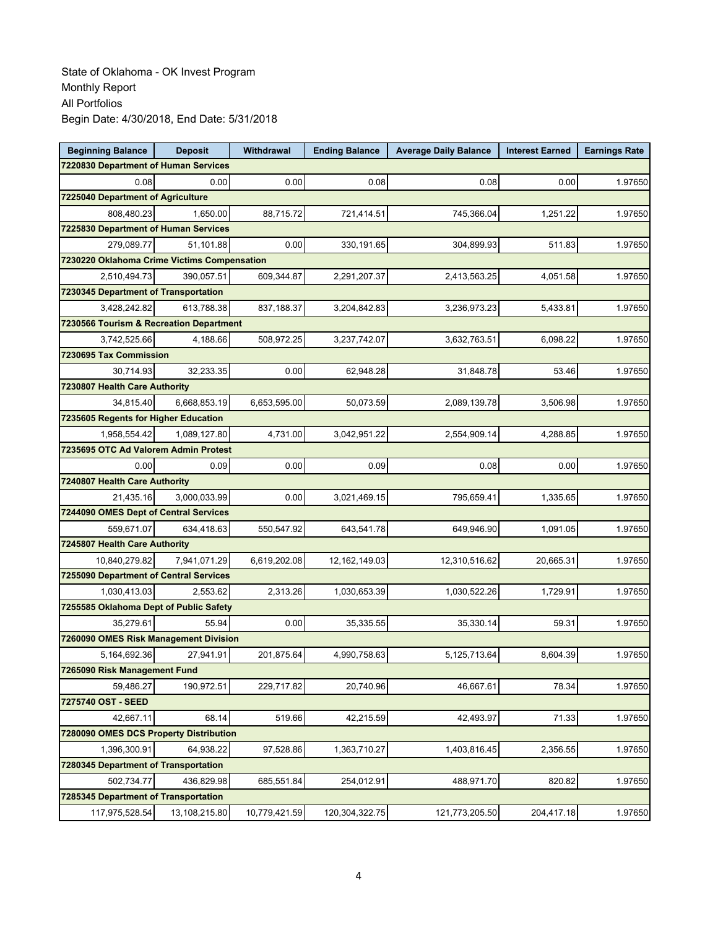| <b>Beginning Balance</b>                    | <b>Deposit</b> | Withdrawal    | <b>Ending Balance</b> | <b>Average Daily Balance</b> | <b>Interest Earned</b> | <b>Earnings Rate</b> |  |  |  |
|---------------------------------------------|----------------|---------------|-----------------------|------------------------------|------------------------|----------------------|--|--|--|
| 7220830 Department of Human Services        |                |               |                       |                              |                        |                      |  |  |  |
| 0.08                                        | 0.00           | 0.00          | 0.08                  | 0.08                         | 0.00                   | 1.97650              |  |  |  |
| 7225040 Department of Agriculture           |                |               |                       |                              |                        |                      |  |  |  |
| 808,480.23                                  | 1,650.00       | 88,715.72     | 721,414.51            | 745,366.04                   | 1,251.22               | 1.97650              |  |  |  |
| 7225830 Department of Human Services        |                |               |                       |                              |                        |                      |  |  |  |
| 279,089.77                                  | 51,101.88      | 0.00          | 330,191.65            | 304,899.93                   | 511.83                 | 1.97650              |  |  |  |
| 7230220 Oklahoma Crime Victims Compensation |                |               |                       |                              |                        |                      |  |  |  |
| 2,510,494.73                                | 390,057.51     | 609,344.87    | 2,291,207.37          | 2,413,563.25                 | 4,051.58               | 1.97650              |  |  |  |
| 7230345 Department of Transportation        |                |               |                       |                              |                        |                      |  |  |  |
| 3,428,242.82                                | 613,788.38     | 837,188.37    | 3,204,842.83          | 3,236,973.23                 | 5,433.81               | 1.97650              |  |  |  |
| 7230566 Tourism & Recreation Department     |                |               |                       |                              |                        |                      |  |  |  |
| 3,742,525.66                                | 4,188.66       | 508,972.25    | 3,237,742.07          | 3,632,763.51                 | 6,098.22               | 1.97650              |  |  |  |
| 7230695 Tax Commission                      |                |               |                       |                              |                        |                      |  |  |  |
| 30,714.93                                   | 32,233.35      | 0.00          | 62,948.28             | 31,848.78                    | 53.46                  | 1.97650              |  |  |  |
| 7230807 Health Care Authority               |                |               |                       |                              |                        |                      |  |  |  |
| 34,815.40                                   | 6,668,853.19   | 6,653,595.00  | 50,073.59             | 2,089,139.78                 | 3,506.98               | 1.97650              |  |  |  |
| 7235605 Regents for Higher Education        |                |               |                       |                              |                        |                      |  |  |  |
| 1,958,554.42                                | 1,089,127.80   | 4,731.00      | 3,042,951.22          | 2,554,909.14                 | 4,288.85               | 1.97650              |  |  |  |
| 7235695 OTC Ad Valorem Admin Protest        |                |               |                       |                              |                        |                      |  |  |  |
| 0.00                                        | 0.09           | 0.00          | 0.09                  | 0.08                         | 0.00                   | 1.97650              |  |  |  |
| 7240807 Health Care Authority               |                |               |                       |                              |                        |                      |  |  |  |
| 21,435.16                                   | 3,000,033.99   | 0.00          | 3,021,469.15          | 795,659.41                   | 1,335.65               | 1.97650              |  |  |  |
| 7244090 OMES Dept of Central Services       |                |               |                       |                              |                        |                      |  |  |  |
| 559,671.07                                  | 634,418.63     | 550,547.92    | 643,541.78            | 649,946.90                   | 1,091.05               | 1.97650              |  |  |  |
| 7245807 Health Care Authority               |                |               |                       |                              |                        |                      |  |  |  |
| 10,840,279.82                               | 7,941,071.29   | 6,619,202.08  | 12, 162, 149.03       | 12,310,516.62                | 20,665.31              | 1.97650              |  |  |  |
| 7255090 Department of Central Services      |                |               |                       |                              |                        |                      |  |  |  |
| 1,030,413.03                                | 2,553.62       | 2,313.26      | 1,030,653.39          | 1,030,522.26                 | 1,729.91               | 1.97650              |  |  |  |
| 7255585 Oklahoma Dept of Public Safety      |                |               |                       |                              |                        |                      |  |  |  |
| 35,279.61                                   | 55.94          | 0.00          | 35,335.55             | 35,330.14                    | 59.31                  | 1.97650              |  |  |  |
| 7260090 OMES Risk Management Division       |                |               |                       |                              |                        |                      |  |  |  |
| 5,164,692.36                                | 27,941.91      | 201,875.64    | 4,990,758.63          | 5,125,713.64                 | 8.604.39               | 1.97650              |  |  |  |
| 7265090 Risk Management Fund                |                |               |                       |                              |                        |                      |  |  |  |
| 59,486.27                                   | 190,972.51     | 229,717.82    | 20,740.96             | 46,667.61                    | 78.34                  | 1.97650              |  |  |  |
| 7275740 OST - SEED                          |                |               |                       |                              |                        |                      |  |  |  |
| 42,667.11                                   | 68.14          | 519.66        | 42,215.59             | 42,493.97                    | 71.33                  | 1.97650              |  |  |  |
| 7280090 OMES DCS Property Distribution      |                |               |                       |                              |                        |                      |  |  |  |
| 1,396,300.91                                | 64,938.22      | 97,528.86     | 1,363,710.27          | 1,403,816.45                 | 2,356.55               | 1.97650              |  |  |  |
| 7280345 Department of Transportation        |                |               |                       |                              |                        |                      |  |  |  |
| 502,734.77                                  | 436,829.98     | 685,551.84    | 254,012.91            | 488,971.70                   | 820.82                 | 1.97650              |  |  |  |
| 7285345 Department of Transportation        |                |               |                       |                              |                        |                      |  |  |  |
| 117,975,528.54                              | 13,108,215.80  | 10,779,421.59 | 120,304,322.75        | 121,773,205.50               | 204,417.18             | 1.97650              |  |  |  |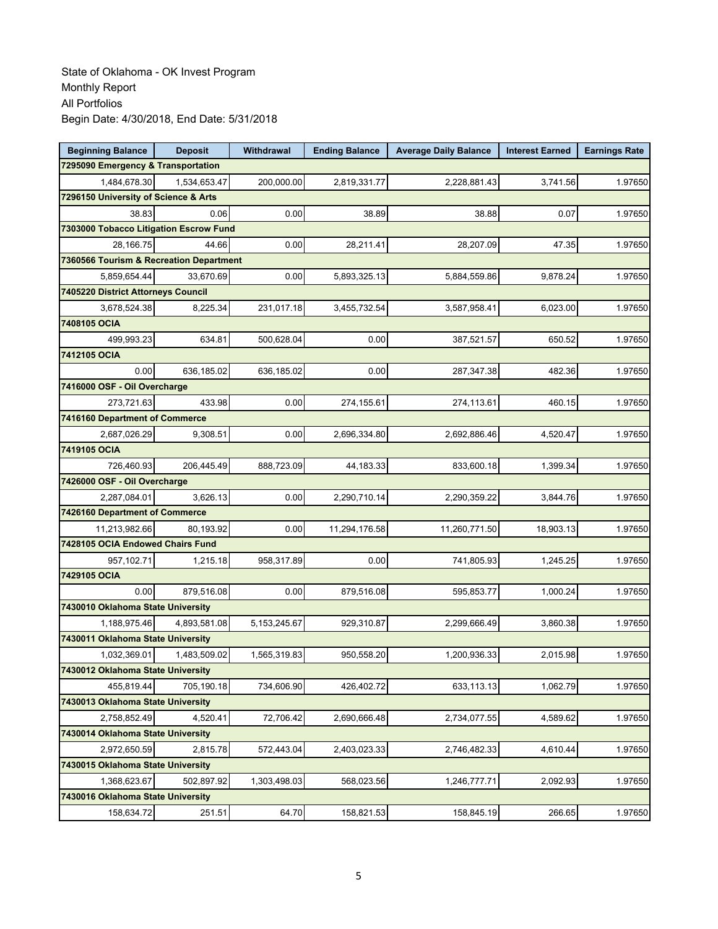| <b>Beginning Balance</b>                | <b>Deposit</b> | <b>Withdrawal</b> | <b>Ending Balance</b> | <b>Average Daily Balance</b> | <b>Interest Earned</b> | <b>Earnings Rate</b> |
|-----------------------------------------|----------------|-------------------|-----------------------|------------------------------|------------------------|----------------------|
| 7295090 Emergency & Transportation      |                |                   |                       |                              |                        |                      |
| 1,484,678.30                            | 1,534,653.47   | 200,000.00        | 2,819,331.77          | 2,228,881.43                 | 3,741.56               | 1.97650              |
| 7296150 University of Science & Arts    |                |                   |                       |                              |                        |                      |
| 38.83                                   | 0.06           | 0.00              | 38.89                 | 38.88                        | 0.07                   | 1.97650              |
| 7303000 Tobacco Litigation Escrow Fund  |                |                   |                       |                              |                        |                      |
| 28,166.75                               | 44.66          | 0.00              | 28,211.41             | 28,207.09                    | 47.35                  | 1.97650              |
| 7360566 Tourism & Recreation Department |                |                   |                       |                              |                        |                      |
| 5,859,654.44                            | 33,670.69      | 0.00              | 5,893,325.13          | 5,884,559.86                 | 9,878.24               | 1.97650              |
| 7405220 District Attorneys Council      |                |                   |                       |                              |                        |                      |
| 3,678,524.38                            | 8,225.34       | 231,017.18        | 3,455,732.54          | 3,587,958.41                 | 6,023.00               | 1.97650              |
| 7408105 OCIA                            |                |                   |                       |                              |                        |                      |
| 499,993.23                              | 634.81         | 500,628.04        | 0.00                  | 387,521.57                   | 650.52                 | 1.97650              |
| 7412105 OCIA                            |                |                   |                       |                              |                        |                      |
| 0.00                                    | 636,185.02     | 636,185.02        | 0.00                  | 287,347.38                   | 482.36                 | 1.97650              |
| 7416000 OSF - Oil Overcharge            |                |                   |                       |                              |                        |                      |
| 273,721.63                              | 433.98         | 0.00              | 274,155.61            | 274,113.61                   | 460.15                 | 1.97650              |
| 7416160 Department of Commerce          |                |                   |                       |                              |                        |                      |
| 2,687,026.29                            | 9,308.51       | 0.00              | 2,696,334.80          | 2,692,886.46                 | 4,520.47               | 1.97650              |
| 7419105 OCIA                            |                |                   |                       |                              |                        |                      |
| 726,460.93                              | 206,445.49     | 888,723.09        | 44,183.33             | 833,600.18                   | 1,399.34               | 1.97650              |
| 7426000 OSF - Oil Overcharge            |                |                   |                       |                              |                        |                      |
| 2,287,084.01                            | 3,626.13       | 0.00              | 2,290,710.14          | 2,290,359.22                 | 3,844.76               | 1.97650              |
| 7426160 Department of Commerce          |                |                   |                       |                              |                        |                      |
| 11,213,982.66                           | 80,193.92      | 0.00              | 11,294,176.58         | 11,260,771.50                | 18,903.13              | 1.97650              |
| 7428105 OCIA Endowed Chairs Fund        |                |                   |                       |                              |                        |                      |
| 957,102.71                              | 1,215.18       | 958,317.89        | 0.00                  | 741,805.93                   | 1,245.25               | 1.97650              |
| 7429105 OCIA                            |                |                   |                       |                              |                        |                      |
| 0.00                                    | 879,516.08     | 0.00              | 879,516.08            | 595,853.77                   | 1,000.24               | 1.97650              |
| 7430010 Oklahoma State University       |                |                   |                       |                              |                        |                      |
| 1,188,975.46                            | 4,893,581.08   | 5, 153, 245. 67   | 929,310.87            | 2,299,666.49                 | 3,860.38               | 1.97650              |
| 7430011 Oklahoma State University       |                |                   |                       |                              |                        |                      |
| 1,032,369.01                            | 1,483,509.02   | 1,565,319.83      | 950,558.20            | 1,200,936.33                 | 2,015.98               | 1.97650              |
| 7430012 Oklahoma State University       |                |                   |                       |                              |                        |                      |
| 455,819.44                              | 705,190.18     | 734,606.90        | 426,402.72            | 633,113.13                   | 1,062.79               | 1.97650              |
| 7430013 Oklahoma State University       |                |                   |                       |                              |                        |                      |
| 2,758,852.49                            | 4,520.41       | 72,706.42         | 2,690,666.48          | 2,734,077.55                 | 4,589.62               | 1.97650              |
| 7430014 Oklahoma State University       |                |                   |                       |                              |                        |                      |
| 2,972,650.59                            | 2,815.78       | 572,443.04        | 2,403,023.33          | 2,746,482.33                 | 4,610.44               | 1.97650              |
| 7430015 Oklahoma State University       |                |                   |                       |                              |                        |                      |
| 1,368,623.67                            | 502,897.92     | 1,303,498.03      | 568,023.56            | 1,246,777.71                 | 2,092.93               | 1.97650              |
| 7430016 Oklahoma State University       |                |                   |                       |                              |                        |                      |
| 158,634.72                              | 251.51         | 64.70             | 158,821.53            | 158,845.19                   | 266.65                 | 1.97650              |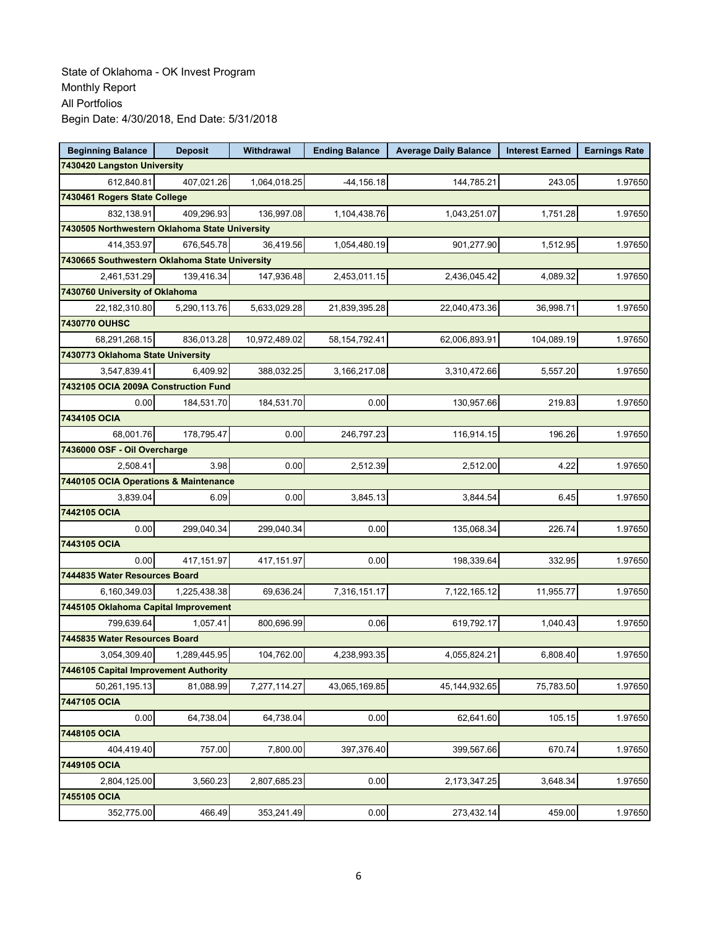| <b>Beginning Balance</b>                       | <b>Deposit</b> | <b>Withdrawal</b> | <b>Ending Balance</b> | <b>Average Daily Balance</b> | <b>Interest Earned</b> | <b>Earnings Rate</b> |
|------------------------------------------------|----------------|-------------------|-----------------------|------------------------------|------------------------|----------------------|
| 7430420 Langston University                    |                |                   |                       |                              |                        |                      |
| 612,840.81                                     | 407,021.26     | 1,064,018.25      | $-44, 156.18$         | 144,785.21                   | 243.05                 | 1.97650              |
| 7430461 Rogers State College                   |                |                   |                       |                              |                        |                      |
| 832,138.91                                     | 409,296.93     | 136,997.08        | 1,104,438.76          | 1,043,251.07                 | 1,751.28               | 1.97650              |
| 7430505 Northwestern Oklahoma State University |                |                   |                       |                              |                        |                      |
| 414,353.97                                     | 676,545.78     | 36,419.56         | 1,054,480.19          | 901,277.90                   | 1,512.95               | 1.97650              |
| 7430665 Southwestern Oklahoma State University |                |                   |                       |                              |                        |                      |
| 2,461,531.29                                   | 139,416.34     | 147,936.48        | 2,453,011.15          | 2,436,045.42                 | 4,089.32               | 1.97650              |
| 7430760 University of Oklahoma                 |                |                   |                       |                              |                        |                      |
| 22,182,310.80                                  | 5,290,113.76   | 5,633,029.28      | 21,839,395.28         | 22,040,473.36                | 36,998.71              | 1.97650              |
| 7430770 OUHSC                                  |                |                   |                       |                              |                        |                      |
| 68,291,268.15                                  | 836,013.28     | 10,972,489.02     | 58, 154, 792. 41      | 62,006,893.91                | 104,089.19             | 1.97650              |
| 7430773 Oklahoma State University              |                |                   |                       |                              |                        |                      |
| 3,547,839.41                                   | 6,409.92       | 388,032.25        | 3,166,217.08          | 3,310,472.66                 | 5,557.20               | 1.97650              |
| 7432105 OCIA 2009A Construction Fund           |                |                   |                       |                              |                        |                      |
| 0.00                                           | 184,531.70     | 184,531.70        | 0.00                  | 130,957.66                   | 219.83                 | 1.97650              |
| 7434105 OCIA                                   |                |                   |                       |                              |                        |                      |
| 68,001.76                                      | 178,795.47     | 0.00              | 246,797.23            | 116,914.15                   | 196.26                 | 1.97650              |
| 7436000 OSF - Oil Overcharge                   |                |                   |                       |                              |                        |                      |
| 2,508.41                                       | 3.98           | 0.00              | 2,512.39              | 2,512.00                     | 4.22                   | 1.97650              |
| 7440105 OCIA Operations & Maintenance          |                |                   |                       |                              |                        |                      |
| 3,839.04                                       | 6.09           | 0.00              | 3,845.13              | 3,844.54                     | 6.45                   | 1.97650              |
| 7442105 OCIA                                   |                |                   |                       |                              |                        |                      |
| 0.00                                           | 299,040.34     | 299,040.34        | 0.00                  | 135,068.34                   | 226.74                 | 1.97650              |
| 7443105 OCIA                                   |                |                   |                       |                              |                        |                      |
| 0.00                                           | 417,151.97     | 417,151.97        | 0.00                  | 198,339.64                   | 332.95                 | 1.97650              |
| 7444835 Water Resources Board                  |                |                   |                       |                              |                        |                      |
| 6,160,349.03                                   | 1,225,438.38   | 69,636.24         | 7,316,151.17          | 7,122,165.12                 | 11,955.77              | 1.97650              |
| 7445105 Oklahoma Capital Improvement           |                |                   |                       |                              |                        |                      |
| 799,639.64                                     | 1,057.41       | 800,696.99        | 0.06                  | 619,792.17                   | 1,040.43               | 1.97650              |
| 7445835 Water Resources Board                  |                |                   |                       |                              |                        |                      |
| 3,054,309.40                                   | 1,289,445.95   | 104,762.00        | 4,238,993.35          | 4,055,824.21                 | 6,808.40               | 1.97650              |
| 7446105 Capital Improvement Authority          |                |                   |                       |                              |                        |                      |
| 50,261,195.13                                  | 81,088.99      | 7,277,114.27      | 43,065,169.85         | 45, 144, 932. 65             | 75,783.50              | 1.97650              |
| 7447105 OCIA                                   |                |                   |                       |                              |                        |                      |
| 0.00                                           | 64,738.04      | 64,738.04         | 0.00                  | 62,641.60                    | 105.15                 | 1.97650              |
| 7448105 OCIA                                   |                |                   |                       |                              |                        |                      |
| 404,419.40                                     | 757.00         | 7,800.00          | 397,376.40            | 399,567.66                   | 670.74                 | 1.97650              |
| 7449105 OCIA                                   |                |                   |                       |                              |                        |                      |
| 2,804,125.00                                   | 3,560.23       | 2,807,685.23      | 0.00                  | 2,173,347.25                 | 3,648.34               | 1.97650              |
| 7455105 OCIA                                   |                |                   |                       |                              |                        |                      |
| 352,775.00                                     | 466.49         | 353,241.49        | 0.00                  | 273,432.14                   | 459.00                 | 1.97650              |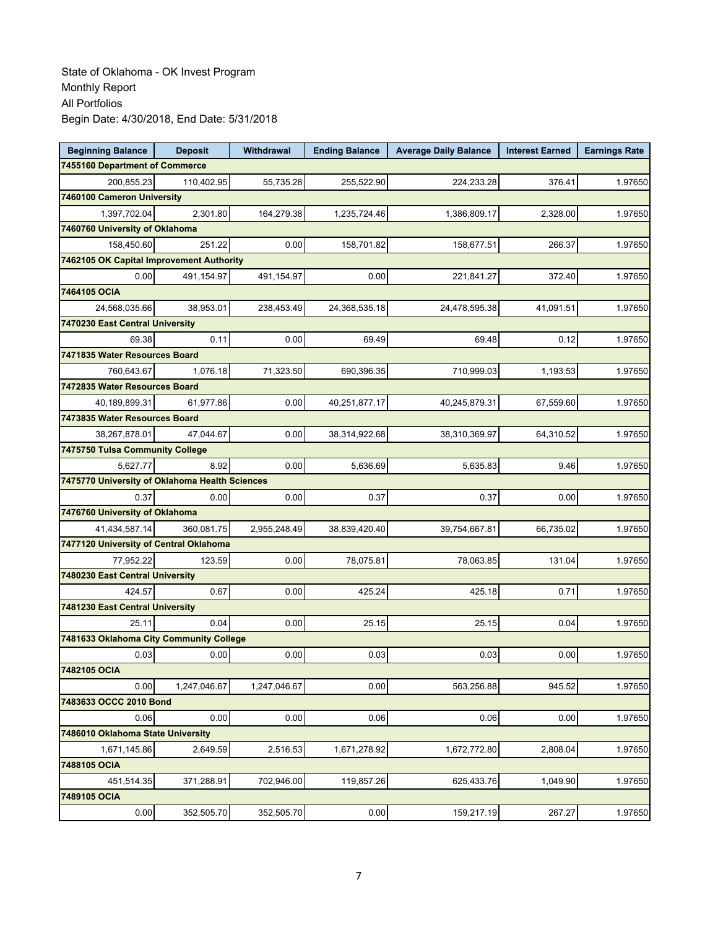| <b>Beginning Balance</b>                 | <b>Deposit</b>                                 | Withdrawal   | <b>Ending Balance</b> | <b>Average Daily Balance</b> | <b>Interest Earned</b> | <b>Earnings Rate</b> |  |  |  |
|------------------------------------------|------------------------------------------------|--------------|-----------------------|------------------------------|------------------------|----------------------|--|--|--|
| 7455160 Department of Commerce           |                                                |              |                       |                              |                        |                      |  |  |  |
| 200,855.23                               | 110,402.95                                     | 55,735.28    | 255,522.90            | 224,233.28                   | 376.41                 | 1.97650              |  |  |  |
| 7460100 Cameron University               |                                                |              |                       |                              |                        |                      |  |  |  |
| 1,397,702.04                             | 2,301.80                                       | 164,279.38   | 1,235,724.46          | 1,386,809.17                 | 2,328.00               | 1.97650              |  |  |  |
| 7460760 University of Oklahoma           |                                                |              |                       |                              |                        |                      |  |  |  |
| 158,450.60                               | 251.22                                         | 0.00         | 158,701.82            | 158,677.51                   | 266.37                 | 1.97650              |  |  |  |
| 7462105 OK Capital Improvement Authority |                                                |              |                       |                              |                        |                      |  |  |  |
| 0.00                                     | 491,154.97                                     | 491,154.97   | 0.00                  | 221,841.27                   | 372.40                 | 1.97650              |  |  |  |
| 7464105 OCIA                             |                                                |              |                       |                              |                        |                      |  |  |  |
| 24,568,035.66                            | 38,953.01                                      | 238,453.49   | 24,368,535.18         | 24,478,595.38                | 41,091.51              | 1.97650              |  |  |  |
| 7470230 East Central University          |                                                |              |                       |                              |                        |                      |  |  |  |
| 69.38                                    | 0.11                                           | 0.00         | 69.49                 | 69.48                        | 0.12                   | 1.97650              |  |  |  |
| 7471835 Water Resources Board            |                                                |              |                       |                              |                        |                      |  |  |  |
| 760,643.67                               | 1,076.18                                       | 71,323.50    | 690,396.35            | 710,999.03                   | 1,193.53               | 1.97650              |  |  |  |
| 7472835 Water Resources Board            |                                                |              |                       |                              |                        |                      |  |  |  |
| 40,189,899.31                            | 61,977.86                                      | 0.00         | 40,251,877.17         | 40,245,879.31                | 67,559.60              | 1.97650              |  |  |  |
| 7473835 Water Resources Board            |                                                |              |                       |                              |                        |                      |  |  |  |
| 38,267,878.01                            | 47,044.67                                      | 0.00         | 38,314,922.68         | 38,310,369.97                | 64,310.52              | 1.97650              |  |  |  |
| 7475750 Tulsa Community College          |                                                |              |                       |                              |                        |                      |  |  |  |
| 5.627.77                                 | 8.92                                           | 0.00         | 5.636.69              | 5,635.83                     | 9.46                   | 1.97650              |  |  |  |
|                                          | 7475770 University of Oklahoma Health Sciences |              |                       |                              |                        |                      |  |  |  |
| 0.37                                     | 0.00                                           | 0.00         | 0.37                  | 0.37                         | 0.00                   | 1.97650              |  |  |  |
| 7476760 University of Oklahoma           |                                                |              |                       |                              |                        |                      |  |  |  |
| 41,434,587.14                            | 360,081.75                                     | 2,955,248.49 | 38,839,420.40         | 39,754,667.81                | 66,735.02              | 1.97650              |  |  |  |
| 7477120 University of Central Oklahoma   |                                                |              |                       |                              |                        |                      |  |  |  |
| 77,952.22                                | 123.59                                         | 0.00         | 78,075.81             | 78,063.85                    | 131.04                 | 1.97650              |  |  |  |
| 7480230 East Central University          |                                                |              |                       |                              |                        |                      |  |  |  |
| 424.57                                   | 0.67                                           | 0.00         | 425.24                | 425.18                       | 0.71                   | 1.97650              |  |  |  |
| 7481230 East Central University          |                                                |              |                       |                              |                        |                      |  |  |  |
| 25.11                                    | 0.04                                           | 0.00         | 25.15                 | 25.15                        | 0.04                   | 1.97650              |  |  |  |
| 7481633 Oklahoma City Community College  |                                                |              |                       |                              |                        |                      |  |  |  |
| 0.03                                     | 0.00                                           | 0.00         | 0.03                  | 0.03                         | 0.00                   | 1.97650              |  |  |  |
| 7482105 OCIA                             |                                                |              |                       |                              |                        |                      |  |  |  |
| 0.00                                     | 1,247,046.67                                   | 1,247,046.67 | 0.00                  | 563,256.88                   | 945.52                 | 1.97650              |  |  |  |
| 7483633 OCCC 2010 Bond                   |                                                |              |                       |                              |                        |                      |  |  |  |
| 0.06                                     | 0.00                                           | 0.00         | 0.06                  | 0.06                         | 0.00                   | 1.97650              |  |  |  |
| 7486010 Oklahoma State University        |                                                |              |                       |                              |                        |                      |  |  |  |
| 1,671,145.86                             | 2,649.59                                       | 2,516.53     | 1,671,278.92          | 1,672,772.80                 | 2,808.04               | 1.97650              |  |  |  |
| 7488105 OCIA                             |                                                |              |                       |                              |                        |                      |  |  |  |
| 451,514.35                               | 371,288.91                                     | 702,946.00   | 119,857.26            | 625,433.76                   | 1,049.90               | 1.97650              |  |  |  |
| 7489105 OCIA                             |                                                |              |                       |                              |                        |                      |  |  |  |
| 0.00                                     | 352,505.70                                     | 352,505.70   | 0.00                  | 159,217.19                   | 267.27                 | 1.97650              |  |  |  |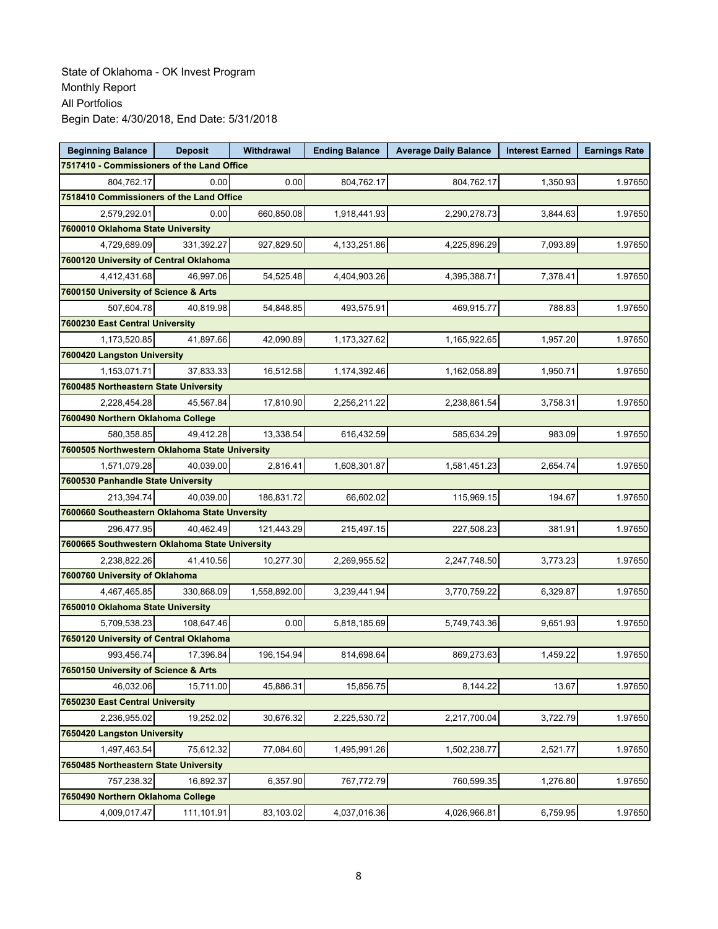| <b>Beginning Balance</b>                       | <b>Deposit</b>                     | Withdrawal   | <b>Ending Balance</b> | <b>Average Daily Balance</b> | <b>Interest Earned</b> | <b>Earnings Rate</b> |  |  |
|------------------------------------------------|------------------------------------|--------------|-----------------------|------------------------------|------------------------|----------------------|--|--|
| 7517410 - Commissioners of the Land Office     |                                    |              |                       |                              |                        |                      |  |  |
| 804,762.17                                     | 0.00                               | 0.00         | 804,762.17            | 804,762.17                   | 1,350.93               | 1.97650              |  |  |
| 7518410 Commissioners of the Land Office       |                                    |              |                       |                              |                        |                      |  |  |
| 2,579,292.01                                   | 0.00                               | 660,850.08   | 1,918,441.93          | 2,290,278.73                 | 3,844.63               | 1.97650              |  |  |
| 7600010 Oklahoma State University              |                                    |              |                       |                              |                        |                      |  |  |
| 4,729,689.09                                   | 331,392.27                         | 927,829.50   | 4,133,251.86          | 4,225,896.29                 | 7,093.89               | 1.97650              |  |  |
| 7600120 University of Central Oklahoma         |                                    |              |                       |                              |                        |                      |  |  |
| 4,412,431.68                                   | 46.997.06                          | 54,525.48    | 4,404,903.26          | 4,395,388.71                 | 7,378.41               | 1.97650              |  |  |
| 7600150 University of Science & Arts           |                                    |              |                       |                              |                        |                      |  |  |
| 507,604.78                                     | 40,819.98                          | 54,848.85    | 493,575.91            | 469,915.77                   | 788.83                 | 1.97650              |  |  |
| 7600230 East Central University                |                                    |              |                       |                              |                        |                      |  |  |
| 1,173,520.85                                   | 41,897.66                          | 42,090.89    | 1,173,327.62          | 1,165,922.65                 | 1,957.20               | 1.97650              |  |  |
| 7600420 Langston University                    |                                    |              |                       |                              |                        |                      |  |  |
| 1,153,071.71                                   | 37,833.33                          | 16,512.58    | 1,174,392.46          | 1,162,058.89                 | 1,950.71               | 1.97650              |  |  |
| 7600485 Northeastern State University          |                                    |              |                       |                              |                        |                      |  |  |
| 2,228,454.28                                   | 45,567.84                          | 17,810.90    | 2,256,211.22          | 2,238,861.54                 | 3,758.31               | 1.97650              |  |  |
| 7600490 Northern Oklahoma College              |                                    |              |                       |                              |                        |                      |  |  |
| 580,358.85                                     | 49,412.28                          | 13,338.54    | 616,432.59            | 585,634.29                   | 983.09                 | 1.97650              |  |  |
| 7600505 Northwestern Oklahoma State University |                                    |              |                       |                              |                        |                      |  |  |
| 1,571,079.28                                   | 40.039.00                          | 2,816.41     | 1,608,301.87          | 1,581,451.23                 | 2,654.74               | 1.97650              |  |  |
|                                                | 7600530 Panhandle State University |              |                       |                              |                        |                      |  |  |
| 213,394.74                                     | 40,039.00                          | 186,831.72   | 66,602.02             | 115,969.15                   | 194.67                 | 1.97650              |  |  |
| 7600660 Southeastern Oklahoma State Unversity  |                                    |              |                       |                              |                        |                      |  |  |
| 296,477.95                                     | 40,462.49                          | 121,443.29   | 215,497.15            | 227,508.23                   | 381.91                 | 1.97650              |  |  |
| 7600665 Southwestern Oklahoma State University |                                    |              |                       |                              |                        |                      |  |  |
| 2,238,822.26                                   | 41,410.56                          | 10,277.30    | 2,269,955.52          | 2,247,748.50                 | 3,773.23               | 1.97650              |  |  |
| 7600760 University of Oklahoma                 |                                    |              |                       |                              |                        |                      |  |  |
| 4,467,465.85                                   | 330,868.09                         | 1,558,892.00 | 3,239,441.94          | 3,770,759.22                 | 6,329.87               | 1.97650              |  |  |
| 7650010 Oklahoma State University              |                                    |              |                       |                              |                        |                      |  |  |
| 5,709,538.23                                   | 108,647.46                         | 0.00         | 5,818,185.69          | 5,749,743.36                 | 9,651.93               | 1.97650              |  |  |
| 7650120 University of Central Oklahoma         |                                    |              |                       |                              |                        |                      |  |  |
| 993,456.74                                     | 17,396.84                          | 196,154.94   | 814,698.64            | 869,273.63                   | 1,459.22               | 1.97650              |  |  |
| 7650150 University of Science & Arts           |                                    |              |                       |                              |                        |                      |  |  |
| 46,032.06                                      | 15,711.00                          | 45,886.31    | 15,856.75             | 8,144.22                     | 13.67                  | 1.97650              |  |  |
| 7650230 East Central University                |                                    |              |                       |                              |                        |                      |  |  |
| 2,236,955.02                                   | 19,252.02                          | 30,676.32    | 2,225,530.72          | 2,217,700.04                 | 3,722.79               | 1.97650              |  |  |
| 7650420 Langston University                    |                                    |              |                       |                              |                        |                      |  |  |
| 1,497,463.54                                   | 75,612.32                          | 77,084.60    | 1,495,991.26          | 1,502,238.77                 | 2,521.77               | 1.97650              |  |  |
| 7650485 Northeastern State University          |                                    |              |                       |                              |                        |                      |  |  |
| 757,238.32                                     | 16.892.37                          | 6,357.90     | 767,772.79            | 760,599.35                   | 1,276.80               | 1.97650              |  |  |
| 7650490 Northern Oklahoma College              |                                    |              |                       |                              |                        |                      |  |  |
| 4,009,017.47                                   | 111,101.91                         | 83,103.02    | 4,037,016.36          | 4,026,966.81                 | 6,759.95               | 1.97650              |  |  |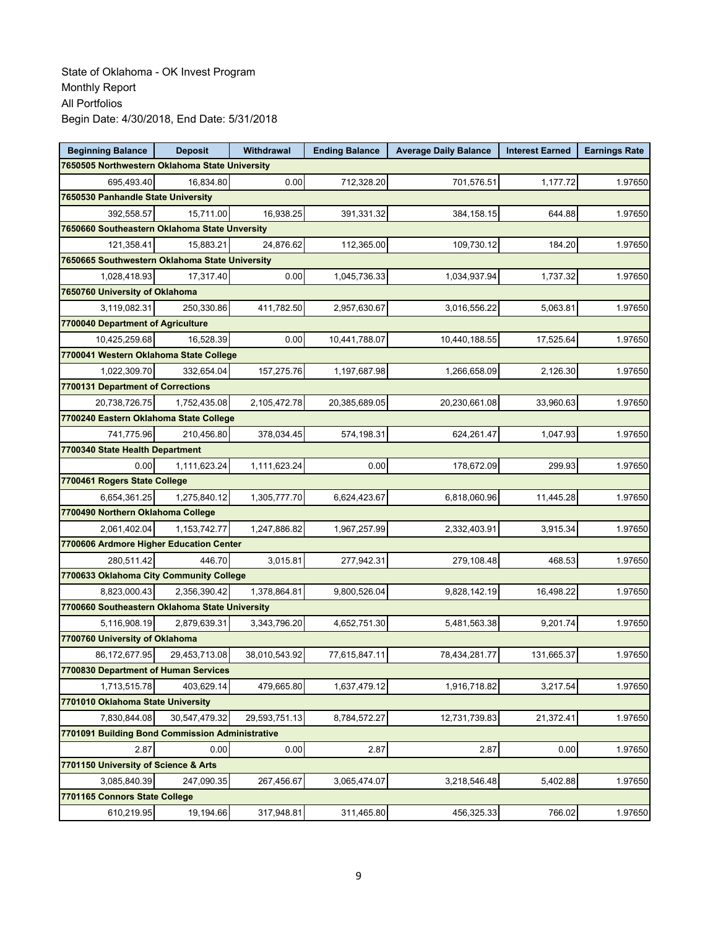| <b>Beginning Balance</b>                        | <b>Deposit</b> | <b>Withdrawal</b> | <b>Ending Balance</b> | <b>Average Daily Balance</b> | <b>Interest Earned</b> | <b>Earnings Rate</b> |  |
|-------------------------------------------------|----------------|-------------------|-----------------------|------------------------------|------------------------|----------------------|--|
| 7650505 Northwestern Oklahoma State University  |                |                   |                       |                              |                        |                      |  |
| 695,493.40                                      | 16,834.80      | 0.00              | 712,328.20            | 701,576.51                   | 1,177.72               | 1.97650              |  |
| 7650530 Panhandle State University              |                |                   |                       |                              |                        |                      |  |
| 392,558.57                                      | 15,711.00      | 16,938.25         | 391,331.32            | 384,158.15                   | 644.88                 | 1.97650              |  |
| 7650660 Southeastern Oklahoma State Unversity   |                |                   |                       |                              |                        |                      |  |
| 121,358.41                                      | 15,883.21      | 24,876.62         | 112,365.00            | 109,730.12                   | 184.20                 | 1.97650              |  |
| 7650665 Southwestern Oklahoma State University  |                |                   |                       |                              |                        |                      |  |
| 1,028,418.93                                    | 17,317.40      | 0.00              | 1,045,736.33          | 1,034,937.94                 | 1,737.32               | 1.97650              |  |
| 7650760 University of Oklahoma                  |                |                   |                       |                              |                        |                      |  |
| 3.119.082.31                                    | 250,330.86     | 411,782.50        | 2,957,630.67          | 3,016,556.22                 | 5,063.81               | 1.97650              |  |
| 7700040 Department of Agriculture               |                |                   |                       |                              |                        |                      |  |
| 10,425,259.68                                   | 16,528.39      | 0.00              | 10,441,788.07         | 10,440,188.55                | 17,525.64              | 1.97650              |  |
| 7700041 Western Oklahoma State College          |                |                   |                       |                              |                        |                      |  |
| 1,022,309.70                                    | 332,654.04     | 157,275.76        | 1,197,687.98          | 1,266,658.09                 | 2,126.30               | 1.97650              |  |
| 7700131 Department of Corrections               |                |                   |                       |                              |                        |                      |  |
| 20,738,726.75                                   | 1,752,435.08   | 2,105,472.78      | 20,385,689.05         | 20,230,661.08                | 33,960.63              | 1.97650              |  |
| 7700240 Eastern Oklahoma State College          |                |                   |                       |                              |                        |                      |  |
| 741,775.96                                      | 210,456.80     | 378,034.45        | 574,198.31            | 624,261.47                   | 1,047.93               | 1.97650              |  |
| 7700340 State Health Department                 |                |                   |                       |                              |                        |                      |  |
| 0.00                                            | 1,111,623.24   | 1,111,623.24      | 0.00                  | 178,672.09                   | 299.93                 | 1.97650              |  |
| 7700461 Rogers State College                    |                |                   |                       |                              |                        |                      |  |
| 6,654,361.25                                    | 1,275,840.12   | 1,305,777.70      | 6,624,423.67          | 6,818,060.96                 | 11,445.28              | 1.97650              |  |
| 7700490 Northern Oklahoma College               |                |                   |                       |                              |                        |                      |  |
| 2,061,402.04                                    | 1,153,742.77   | 1,247,886.82      | 1,967,257.99          | 2,332,403.91                 | 3,915.34               | 1.97650              |  |
| 7700606 Ardmore Higher Education Center         |                |                   |                       |                              |                        |                      |  |
| 280,511.42                                      | 446.70         | 3,015.81          | 277,942.31            | 279,108.48                   | 468.53                 | 1.97650              |  |
| 7700633 Oklahoma City Community College         |                |                   |                       |                              |                        |                      |  |
| 8,823,000.43                                    | 2,356,390.42   | 1,378,864.81      | 9,800,526.04          | 9,828,142.19                 | 16,498.22              | 1.97650              |  |
| 7700660 Southeastern Oklahoma State University  |                |                   |                       |                              |                        |                      |  |
| 5,116,908.19                                    | 2,879,639.31   | 3,343,796.20      | 4,652,751.30          | 5,481,563.38                 | 9,201.74               | 1.97650              |  |
| 7700760 University of Oklahoma                  |                |                   |                       |                              |                        |                      |  |
| 86,172,677.95                                   | 29,453,713.08  | 38,010,543.92     | 77,615,847.11         | 78,434,281.77                | 131,665.37             | 1.97650              |  |
| 7700830 Department of Human Services            |                |                   |                       |                              |                        |                      |  |
| 1,713,515.78                                    | 403,629.14     | 479,665.80        | 1,637,479.12          | 1,916,718.82                 | 3,217.54               | 1.97650              |  |
| 7701010 Oklahoma State University               |                |                   |                       |                              |                        |                      |  |
| 7,830,844.08                                    | 30,547,479.32  | 29,593,751.13     | 8,784,572.27          | 12,731,739.83                | 21,372.41              | 1.97650              |  |
| 7701091 Building Bond Commission Administrative |                |                   |                       |                              |                        |                      |  |
| 2.87                                            | 0.00           | 0.00              | 2.87                  | 2.87                         | 0.00                   | 1.97650              |  |
| 7701150 University of Science & Arts            |                |                   |                       |                              |                        |                      |  |
| 3,085,840.39                                    | 247,090.35     | 267,456.67        | 3,065,474.07          | 3,218,546.48                 | 5,402.88               | 1.97650              |  |
| 7701165 Connors State College                   |                |                   |                       |                              |                        |                      |  |
| 610,219.95                                      | 19,194.66      | 317,948.81        | 311,465.80            | 456,325.33                   | 766.02                 | 1.97650              |  |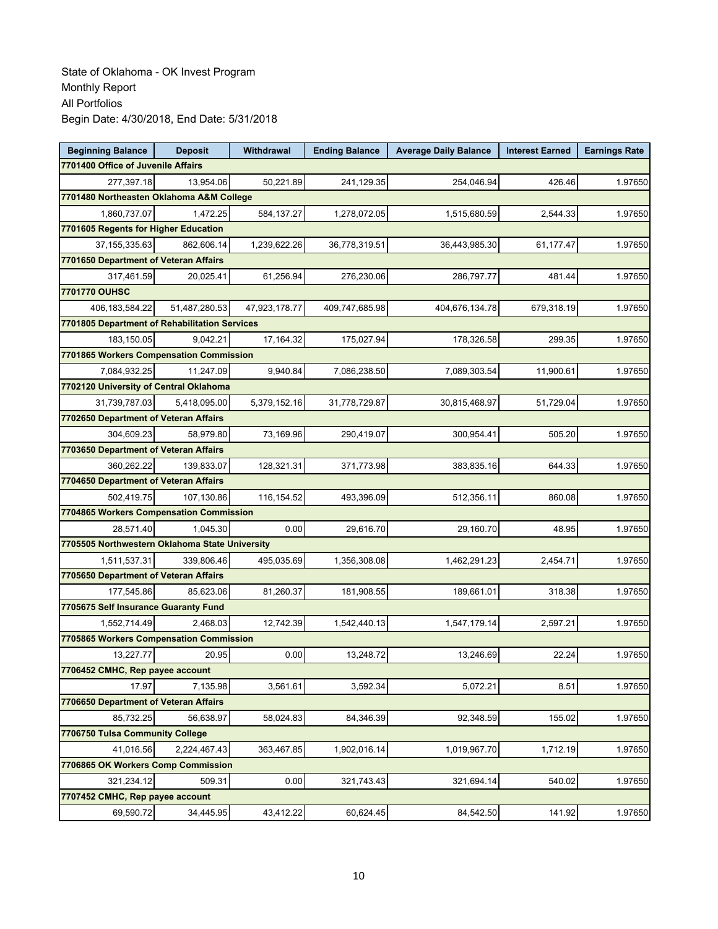| <b>Beginning Balance</b>                       | <b>Deposit</b> | Withdrawal    | <b>Ending Balance</b> | <b>Average Daily Balance</b> | <b>Interest Earned</b> | <b>Earnings Rate</b> |  |  |  |
|------------------------------------------------|----------------|---------------|-----------------------|------------------------------|------------------------|----------------------|--|--|--|
| 7701400 Office of Juvenile Affairs             |                |               |                       |                              |                        |                      |  |  |  |
| 277,397.18                                     | 13,954.06      | 50,221.89     | 241,129.35            | 254,046.94                   | 426.46                 | 1.97650              |  |  |  |
| 7701480 Northeasten Oklahoma A&M College       |                |               |                       |                              |                        |                      |  |  |  |
| 1,860,737.07                                   | 1,472.25       | 584,137.27    | 1,278,072.05          | 1,515,680.59                 | 2,544.33               | 1.97650              |  |  |  |
| 7701605 Regents for Higher Education           |                |               |                       |                              |                        |                      |  |  |  |
| 37, 155, 335.63                                | 862,606.14     | 1,239,622.26  | 36,778,319.51         | 36,443,985.30                | 61,177.47              | 1.97650              |  |  |  |
| 7701650 Department of Veteran Affairs          |                |               |                       |                              |                        |                      |  |  |  |
| 317,461.59                                     | 20,025.41      | 61,256.94     | 276,230.06            | 286,797.77                   | 481.44                 | 1.97650              |  |  |  |
| 7701770 OUHSC                                  |                |               |                       |                              |                        |                      |  |  |  |
| 406, 183, 584. 22                              | 51,487,280.53  | 47,923,178.77 | 409,747,685.98        | 404,676,134.78               | 679,318.19             | 1.97650              |  |  |  |
| 7701805 Department of Rehabilitation Services  |                |               |                       |                              |                        |                      |  |  |  |
| 183,150.05                                     | 9,042.21       | 17,164.32     | 175,027.94            | 178,326.58                   | 299.35                 | 1.97650              |  |  |  |
| 7701865 Workers Compensation Commission        |                |               |                       |                              |                        |                      |  |  |  |
| 7,084,932.25                                   | 11,247.09      | 9,940.84      | 7,086,238.50          | 7,089,303.54                 | 11,900.61              | 1.97650              |  |  |  |
| 7702120 University of Central Oklahoma         |                |               |                       |                              |                        |                      |  |  |  |
| 31,739,787.03                                  | 5,418,095.00   | 5,379,152.16  | 31,778,729.87         | 30,815,468.97                | 51,729.04              | 1.97650              |  |  |  |
| 7702650 Department of Veteran Affairs          |                |               |                       |                              |                        |                      |  |  |  |
| 304,609.23                                     | 58,979.80      | 73,169.96     | 290,419.07            | 300,954.41                   | 505.20                 | 1.97650              |  |  |  |
| 7703650 Department of Veteran Affairs          |                |               |                       |                              |                        |                      |  |  |  |
| 360,262.22                                     | 139,833.07     | 128,321.31    | 371,773.98            | 383,835.16                   | 644.33                 | 1.97650              |  |  |  |
| 7704650 Department of Veteran Affairs          |                |               |                       |                              |                        |                      |  |  |  |
| 502,419.75                                     | 107,130.86     | 116,154.52    | 493,396.09            | 512,356.11                   | 860.08                 | 1.97650              |  |  |  |
| 7704865 Workers Compensation Commission        |                |               |                       |                              |                        |                      |  |  |  |
| 28,571.40                                      | 1,045.30       | 0.00          | 29,616.70             | 29,160.70                    | 48.95                  | 1.97650              |  |  |  |
| 7705505 Northwestern Oklahoma State University |                |               |                       |                              |                        |                      |  |  |  |
| 1,511,537.31                                   | 339,806.46     | 495,035.69    | 1,356,308.08          | 1,462,291.23                 | 2,454.71               | 1.97650              |  |  |  |
| 7705650 Department of Veteran Affairs          |                |               |                       |                              |                        |                      |  |  |  |
| 177,545.86                                     | 85,623.06      | 81,260.37     | 181,908.55            | 189,661.01                   | 318.38                 | 1.97650              |  |  |  |
| 7705675 Self Insurance Guaranty Fund           |                |               |                       |                              |                        |                      |  |  |  |
| 1,552,714.49                                   | 2,468.03       | 12,742.39     | 1,542,440.13          | 1,547,179.14                 | 2,597.21               | 1.97650              |  |  |  |
| 7705865 Workers Compensation Commission        |                |               |                       |                              |                        |                      |  |  |  |
| 13,227.77                                      | 20.95          | 0.00          | 13,248.72             | 13,246.69                    | 22.24                  | 1.97650              |  |  |  |
| 7706452 CMHC, Rep payee account                |                |               |                       |                              |                        |                      |  |  |  |
| 17.97                                          | 7,135.98       | 3,561.61      | 3,592.34              | 5,072.21                     | 8.51                   | 1.97650              |  |  |  |
| 7706650 Department of Veteran Affairs          |                |               |                       |                              |                        |                      |  |  |  |
| 85,732.25                                      | 56.638.97      | 58,024.83     | 84,346.39             | 92,348.59                    | 155.02                 | 1.97650              |  |  |  |
| 7706750 Tulsa Community College                |                |               |                       |                              |                        |                      |  |  |  |
| 41,016.56                                      | 2,224,467.43   | 363,467.85    | 1,902,016.14          | 1,019,967.70                 | 1,712.19               | 1.97650              |  |  |  |
| 7706865 OK Workers Comp Commission             |                |               |                       |                              |                        |                      |  |  |  |
| 321,234.12                                     | 509.31         | 0.00          | 321,743.43            | 321,694.14                   | 540.02                 | 1.97650              |  |  |  |
| 7707452 CMHC, Rep payee account                |                |               |                       |                              |                        |                      |  |  |  |
| 69,590.72                                      | 34,445.95      | 43,412.22     | 60,624.45             | 84,542.50                    | 141.92                 | 1.97650              |  |  |  |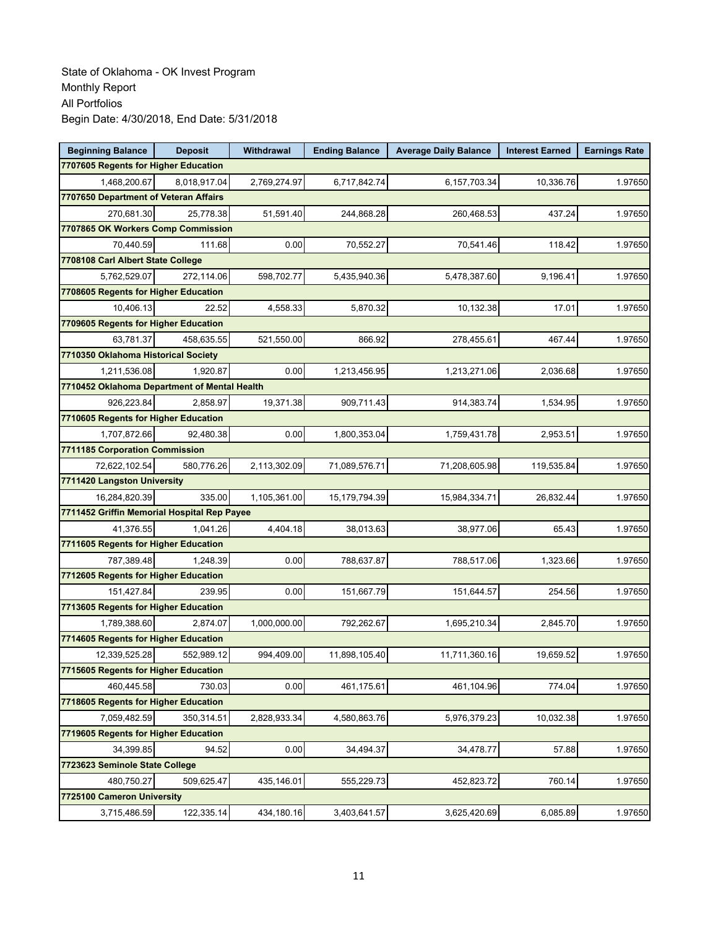| <b>Beginning Balance</b>                     | <b>Deposit</b> | Withdrawal   | <b>Ending Balance</b> | <b>Average Daily Balance</b> | <b>Interest Earned</b> | <b>Earnings Rate</b> |  |  |
|----------------------------------------------|----------------|--------------|-----------------------|------------------------------|------------------------|----------------------|--|--|
| 7707605 Regents for Higher Education         |                |              |                       |                              |                        |                      |  |  |
| 1,468,200.67                                 | 8,018,917.04   | 2,769,274.97 | 6,717,842.74          | 6,157,703.34                 | 10,336.76              | 1.97650              |  |  |
| 7707650 Department of Veteran Affairs        |                |              |                       |                              |                        |                      |  |  |
| 270,681.30                                   | 25,778.38      | 51,591.40    | 244,868.28            | 260,468.53                   | 437.24                 | 1.97650              |  |  |
| 7707865 OK Workers Comp Commission           |                |              |                       |                              |                        |                      |  |  |
| 70,440.59                                    | 111.68         | 0.00         | 70,552.27             | 70,541.46                    | 118.42                 | 1.97650              |  |  |
| 7708108 Carl Albert State College            |                |              |                       |                              |                        |                      |  |  |
| 5,762,529.07                                 | 272,114.06     | 598,702.77   | 5,435,940.36          | 5,478,387.60                 | 9,196.41               | 1.97650              |  |  |
| 7708605 Regents for Higher Education         |                |              |                       |                              |                        |                      |  |  |
| 10,406.13                                    | 22.52          | 4,558.33     | 5,870.32              | 10,132.38                    | 17.01                  | 1.97650              |  |  |
| 7709605 Regents for Higher Education         |                |              |                       |                              |                        |                      |  |  |
| 63,781.37                                    | 458,635.55     | 521,550.00   | 866.92                | 278,455.61                   | 467.44                 | 1.97650              |  |  |
| 7710350 Oklahoma Historical Society          |                |              |                       |                              |                        |                      |  |  |
| 1,211,536.08                                 | 1,920.87       | 0.00         | 1,213,456.95          | 1,213,271.06                 | 2,036.68               | 1.97650              |  |  |
| 7710452 Oklahoma Department of Mental Health |                |              |                       |                              |                        |                      |  |  |
| 926,223.84                                   | 2.858.97       | 19,371.38    | 909,711.43            | 914,383.74                   | 1,534.95               | 1.97650              |  |  |
| 7710605 Regents for Higher Education         |                |              |                       |                              |                        |                      |  |  |
| 1,707,872.66                                 | 92,480.38      | 0.00         | 1,800,353.04          | 1,759,431.78                 | 2,953.51               | 1.97650              |  |  |
| 7711185 Corporation Commission               |                |              |                       |                              |                        |                      |  |  |
| 72,622,102.54                                | 580,776.26     | 2,113,302.09 | 71,089,576.71         | 71,208,605.98                | 119,535.84             | 1.97650              |  |  |
| 7711420 Langston University                  |                |              |                       |                              |                        |                      |  |  |
| 16,284,820.39                                | 335.00         | 1,105,361.00 | 15, 179, 794. 39      | 15,984,334.71                | 26,832.44              | 1.97650              |  |  |
| 7711452 Griffin Memorial Hospital Rep Payee  |                |              |                       |                              |                        |                      |  |  |
| 41,376.55                                    | 1,041.26       | 4,404.18     | 38,013.63             | 38,977.06                    | 65.43                  | 1.97650              |  |  |
| 7711605 Regents for Higher Education         |                |              |                       |                              |                        |                      |  |  |
| 787,389.48                                   | 1,248.39       | 0.00         | 788,637.87            | 788,517.06                   | 1,323.66               | 1.97650              |  |  |
| 7712605 Regents for Higher Education         |                |              |                       |                              |                        |                      |  |  |
| 151,427.84                                   | 239.95         | 0.00         | 151,667.79            | 151,644.57                   | 254.56                 | 1.97650              |  |  |
| 7713605 Regents for Higher Education         |                |              |                       |                              |                        |                      |  |  |
| 1,789,388.60                                 | 2,874.07       | 1,000,000.00 | 792,262.67            | 1,695,210.34                 | 2,845.70               | 1.97650              |  |  |
| 7714605 Regents for Higher Education         |                |              |                       |                              |                        |                      |  |  |
| 12,339,525.28                                | 552,989.12     | 994,409.00   | 11,898,105.40         | 11,711,360.16                | 19,659.52              | 1.97650              |  |  |
| 7715605 Regents for Higher Education         |                |              |                       |                              |                        |                      |  |  |
| 460,445.58                                   | 730.03         | 0.00         | 461,175.61            | 461,104.96                   | 774.04                 | 1.97650              |  |  |
| 7718605 Regents for Higher Education         |                |              |                       |                              |                        |                      |  |  |
| 7,059,482.59                                 | 350,314.51     | 2,828,933.34 | 4,580,863.76          | 5,976,379.23                 | 10,032.38              | 1.97650              |  |  |
| 7719605 Regents for Higher Education         |                |              |                       |                              |                        |                      |  |  |
| 34.399.85                                    | 94.52          | 0.00         | 34,494.37             | 34,478.77                    | 57.88                  | 1.97650              |  |  |
| 7723623 Seminole State College               |                |              |                       |                              |                        |                      |  |  |
| 480,750.27                                   | 509,625.47     | 435,146.01   | 555,229.73            | 452,823.72                   | 760.14                 | 1.97650              |  |  |
| 7725100 Cameron University                   |                |              |                       |                              |                        |                      |  |  |
| 3,715,486.59                                 | 122,335.14     | 434,180.16   | 3,403,641.57          | 3,625,420.69                 | 6,085.89               | 1.97650              |  |  |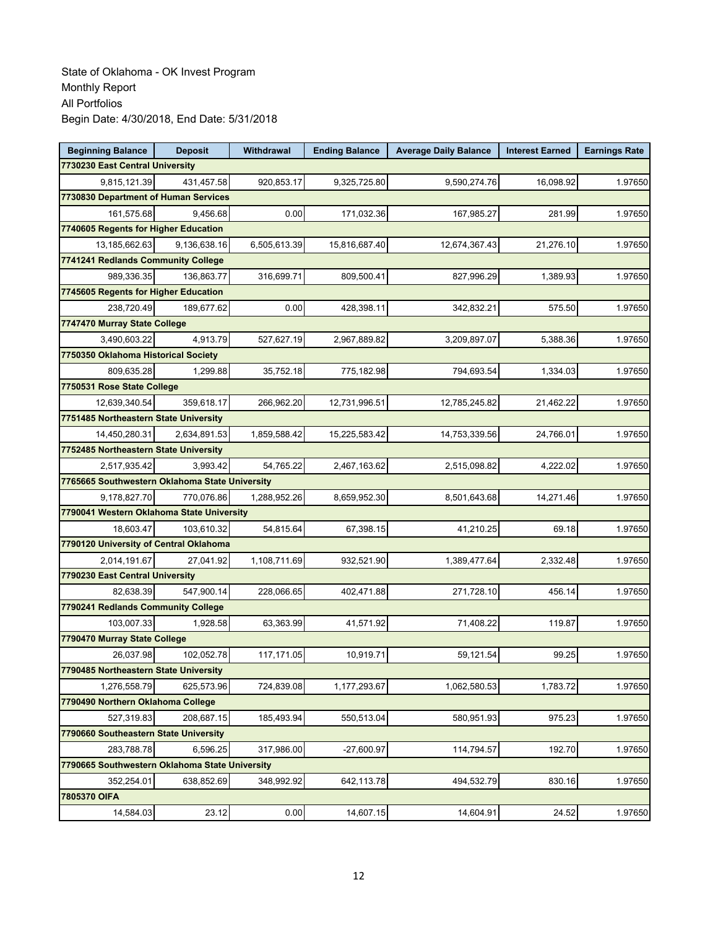| <b>Beginning Balance</b>                       | <b>Deposit</b> | Withdrawal   | <b>Ending Balance</b> | <b>Average Daily Balance</b> | <b>Interest Earned</b> | <b>Earnings Rate</b> |
|------------------------------------------------|----------------|--------------|-----------------------|------------------------------|------------------------|----------------------|
| 7730230 East Central University                |                |              |                       |                              |                        |                      |
| 9,815,121.39                                   | 431,457.58     | 920,853.17   | 9,325,725.80          | 9,590,274.76                 | 16,098.92              | 1.97650              |
| 7730830 Department of Human Services           |                |              |                       |                              |                        |                      |
| 161,575.68                                     | 9,456.68       | 0.00         | 171,032.36            | 167,985.27                   | 281.99                 | 1.97650              |
| 7740605 Regents for Higher Education           |                |              |                       |                              |                        |                      |
| 13,185,662.63                                  | 9,136,638.16   | 6,505,613.39 | 15,816,687.40         | 12,674,367.43                | 21,276.10              | 1.97650              |
| 7741241 Redlands Community College             |                |              |                       |                              |                        |                      |
| 989,336.35                                     | 136,863.77     | 316,699.71   | 809,500.41            | 827,996.29                   | 1,389.93               | 1.97650              |
| 7745605 Regents for Higher Education           |                |              |                       |                              |                        |                      |
| 238,720.49                                     | 189,677.62     | 0.00         | 428,398.11            | 342,832.21                   | 575.50                 | 1.97650              |
| 7747470 Murray State College                   |                |              |                       |                              |                        |                      |
| 3,490,603.22                                   | 4,913.79       | 527,627.19   | 2,967,889.82          | 3,209,897.07                 | 5,388.36               | 1.97650              |
| 7750350 Oklahoma Historical Society            |                |              |                       |                              |                        |                      |
| 809,635.28                                     | 1,299.88       | 35,752.18    | 775,182.98            | 794,693.54                   | 1,334.03               | 1.97650              |
| 7750531 Rose State College                     |                |              |                       |                              |                        |                      |
| 12,639,340.54                                  | 359,618.17     | 266,962.20   | 12,731,996.51         | 12,785,245.82                | 21,462.22              | 1.97650              |
| 7751485 Northeastern State University          |                |              |                       |                              |                        |                      |
| 14,450,280.31                                  | 2,634,891.53   | 1,859,588.42 | 15,225,583.42         | 14,753,339.56                | 24,766.01              | 1.97650              |
| 7752485 Northeastern State University          |                |              |                       |                              |                        |                      |
| 2,517,935.42                                   | 3,993.42       | 54,765.22    | 2,467,163.62          | 2,515,098.82                 | 4,222.02               | 1.97650              |
| 7765665 Southwestern Oklahoma State University |                |              |                       |                              |                        |                      |
| 9,178,827.70                                   | 770,076.86     | 1,288,952.26 | 8,659,952.30          | 8,501,643.68                 | 14,271.46              | 1.97650              |
| 7790041 Western Oklahoma State University      |                |              |                       |                              |                        |                      |
| 18,603.47                                      | 103,610.32     | 54,815.64    | 67,398.15             | 41,210.25                    | 69.18                  | 1.97650              |
| 7790120 University of Central Oklahoma         |                |              |                       |                              |                        |                      |
| 2,014,191.67                                   | 27,041.92      | 1,108,711.69 | 932,521.90            | 1,389,477.64                 | 2,332.48               | 1.97650              |
| 7790230 East Central University                |                |              |                       |                              |                        |                      |
| 82,638.39                                      | 547,900.14     | 228,066.65   | 402,471.88            | 271,728.10                   | 456.14                 | 1.97650              |
| 7790241 Redlands Community College             |                |              |                       |                              |                        |                      |
| 103,007.33                                     | 1,928.58       | 63,363.99    | 41,571.92             | 71,408.22                    | 119.87                 | 1.97650              |
| 7790470 Murray State College                   |                |              |                       |                              |                        |                      |
| 26,037.98                                      | 102,052.78     | 117,171.05   | 10,919.71             | 59,121.54                    | 99.25                  | 1.97650              |
| 7790485 Northeastern State University          |                |              |                       |                              |                        |                      |
| 1,276,558.79                                   | 625,573.96     | 724,839.08   | 1,177,293.67          | 1,062,580.53                 | 1,783.72               | 1.97650              |
| 7790490 Northern Oklahoma College              |                |              |                       |                              |                        |                      |
| 527,319.83                                     | 208,687.15     | 185,493.94   | 550,513.04            | 580,951.93                   | 975.23                 | 1.97650              |
| 7790660 Southeastern State University          |                |              |                       |                              |                        |                      |
| 283,788.78                                     | 6,596.25       | 317,986.00   | $-27,600.97$          | 114,794.57                   | 192.70                 | 1.97650              |
| 7790665 Southwestern Oklahoma State University |                |              |                       |                              |                        |                      |
| 352,254.01                                     | 638,852.69     | 348,992.92   | 642,113.78            | 494,532.79                   | 830.16                 | 1.97650              |
| 7805370 OIFA                                   |                |              |                       |                              |                        |                      |
| 14,584.03                                      | 23.12          | 0.00         | 14,607.15             | 14,604.91                    | 24.52                  | 1.97650              |